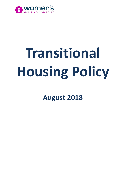

# **Transitional Housing Policy**

**August 2018**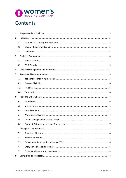

# Contents

| $\mathbf{1}$   |     |  |  |
|----------------|-----|--|--|
| $\overline{2}$ |     |  |  |
|                | 2.1 |  |  |
|                | 2.2 |  |  |
|                | 2.3 |  |  |
| 3              |     |  |  |
|                | 3.1 |  |  |
|                | 3.2 |  |  |
| 4              |     |  |  |
| 5              |     |  |  |
|                | 5.1 |  |  |
|                | 5.2 |  |  |
|                | 5.3 |  |  |
|                | 5.4 |  |  |
| 6              |     |  |  |
|                | 6.1 |  |  |
|                | 6.2 |  |  |
|                | 6.3 |  |  |
|                | 6.4 |  |  |
|                | 6.5 |  |  |
|                | 6.6 |  |  |
| 7              |     |  |  |
|                | 7.1 |  |  |
|                | 7.2 |  |  |
|                | 7.3 |  |  |
|                | 7.4 |  |  |
|                | 7.5 |  |  |
| 8              |     |  |  |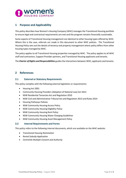

# <span id="page-2-0"></span>**1 Purpose and Applicability**

This policy describes how Women's Housing Company (WHC) manages the Transitional Housing portfolio to ensure legal and contractual requirements are met and the program remains financially sustainable.

Some aspects of Transitional Housing management are identical to other housing types offered by WHC. Where this is the case, referrals are made in this document to other WHC policies. The Transitional Housing Policy sets out the details of tenancy and property management where policy differs from other housing types managed by WHC.

The policy applies to all Transitional Housing properties managed by WHC. The policy applies to all WHC staff and contractors, Support Provider partners, and Transitional Housing applicants and tenants.

The *Charter of Rights and Responsibilities* guides the interactions between WHC, applicants and tenants.

# <span id="page-2-1"></span>**2 References**

# <span id="page-2-2"></span>**2.1 External or Statutory Requirements**

This policy complies with the following external legislation or requirements:

- Housing Act 2001
- Community Housing Providers (Adoption of National Law) Act 2012
- NSW Residential Tenancies Act and Regulation 2010
- NSW Civil and Administrative Tribunal Act and Regulation 2013 and Rules 2014
- Housing Pathways Policies
- NSW Community Housing Access Policy
- NSW Community Housing Eligibility Policy
- NSW Community Housing Rent Policy
- NSW Community Housing Water Charging Guidelines
- NSW Community Housing Asset Management Policy

#### <span id="page-2-3"></span>**2.2 Internal Requirements and Forms**

This policy refers to the following internal documents, which are available on the WHC website:

- *Transitional Housing Nomination*
- *Rental Subsidy Application*
- *Centrelink Multiple Consent and Authority*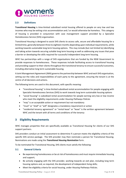

# <span id="page-3-0"></span>**2.3 Definitions**

**Transitional Housing** is time-limited subsidised rental housing offered to people on very low and low incomes who may be exiting crisis accommodation and / or would otherwise be homeless. This category of housing is provided in conjunction with case management support provided by a Specialist Homelessness Service (SHS) organisation.

Transitional Housing is designed to assist SHS clients to access safe, secure and affordable housing for a limited time, generally between three to eighteen months depending upon individual requirements, while working towards sustainable long term housing options. This may include (but not limited to) identifying and taking action towards securing suitable long term housing as well as addressing any issues that pose a barrier or developing the skills required for successful independent long term housing.

WHC has partnerships with a range of SHS organisations that are funded by the NSW Government to provide responses to homelessness. These responses include facilitating access to transitional housing and providing support to their clients throughout the transitional tenancy to ensure successful outcomes, including alternative long term sustainable housing.

A Joint Management Agreement (JMA) governs the partnership between WHC and each SHS organisation, setting out the roles and responsibilities of each party to the agreement, ensuring the tenant is at the centre of all decisions and actions.

The following terms are used in this document, with specific meaning:

- "transitional housing" is time-limited subsidised rental accommodation for people engaging with Specialist Homelessness Services (SHS) to work towards long term sustainable housing options
- "social housing" is subsidised rental accommodation for people earning very low or low income who meet the eligibility requirements under *Housing Pathways Policies*
- "may" is an acceptable action or requirement but not mandatory
- "must" or "shall" or "will" designates a mandatory requirement or action
- "residential tenancy agreement" or "rental lease" or "lease" is the written agreement between WHC and the tenant with all terms and conditions of the tenancy

# <span id="page-3-1"></span>**3 Eligibility Requirements**

WHC manages properties that are specifically available as Transitional Housing for clients of our SHS support partners.

SHS providers conduct an initial assessment to determine if a person meets the eligibility criteria of the specific SHS service package. The SHS provider may then nominate a person for Transitional Housing. Nominations are made using the *Transitional Housing Nomination* form.

To be nominated for Transitional Housing, SHS clients must satisfy the following:

# <span id="page-3-2"></span>**3.1 General Criteria**

- Be experiencing homelessness or be at risk of homelessness and must require immediate housing and support;
- Be actively engaging with the SHS provider, working towards an exit plan, including long term housing options and, as required, the development of independent living skills;
- Meet the eligibility criteria for social housing, under *Housing Pathways Policies*.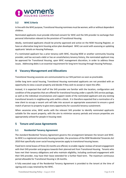

# <span id="page-4-0"></span>**3.2 WHC Criteria**

In line with the WHC purpose, Transitional Housing nominees must be women, with or without dependent children.

Nominated applicants must provide informed consent for WHC and the SHS provider to exchange their personal information relevant to the provision of Transitional Housing.

Ideally, nominated applicants should be priority approved and active on the NSW Housing Register, or have an alternative long term housing action plan developed. WHC can assist with assessing or updating applicants' details on Housing Pathways.

If a nominated applicant has a prior tenancy with WHC, Housing NSW or another community housing provider, and has accrued a debt or has an unsatisfactory tenancy history, the nominated applicant may be approved for Transitional Housing, upon WHC management discretion, in order to address these issues. Addressing debts is an essential requirement for long term housing through Housing Pathways.

# <span id="page-4-1"></span>**4 Vacancy Management and Allocations**

Transitional Housing vacancies are communicated to our SHS partners as soon as practicable.

Unlike long term social housing, Transitional Housing nominated applicants are not provided with an opportunity to view a vacant property and decide if they wish to accept or reject the offer.

Instead, it is expected that staff of the SHS provider are familiar with the location, configuration and condition of the properties that are offered for transitional housing under a specific SHS service package, as well as the individual circumstances and support needs of the nominated applicant and any existing transitional tenants in neighbouring units within a block. It is therefore expected that a nomination of a new client to occupy a vacant unit will take into account an appropriate assessment to ensure a good match of person to property to give every opportunity for successful tenancy sustainment.

When vacancies arise, WHC works with the relevant SHS provider to identify nominated applicants suitable for the vacant property, with the aim to minimise vacancy periods and ensure properties are appropriately utilised for people in housing need.

# <span id="page-4-2"></span>**5 Tenure and Lease Agreements**

# <span id="page-4-3"></span>**5.1 Residential Tenancy Agreement**

The standard Residential Tenancy Agreement governs the arrangement between the tenant and WHC. As WHC is a registered community housing provider, the provisions of the *NSW Residential Tenancies Act 2010* that specifically cover social housing tenancies apply to transitional housing leases.

Fixed term rental leases of three (3) months are offered, to enable regular reviews of tenant engagement with their SHS provider and progress towards their planned exit from Transitional Housing. Tenants who have met their tenancy obligations and who maintain eligibility, including continued engagement with their SHS provider, may have their lease extended for a further fixed term. The maximum continuous period allowable for Transitional Housing is 18 months.

A fully executed copy of the Residential Tenancy Agreement is provided to the tenant at the time of signing and a copy retained by the WHC.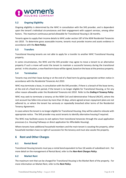

# <span id="page-5-0"></span>**5.2 Ongoing Eligibility**

Ongoing eligibility is determined by the WHC in consultation with the SHS provider, and is dependent upon the tenant's individual circumstances and their engagement with support services, among other factors. The maximum continuous period allowable for Transitional Housing is 18 months.

Tenants agree to supply their income details to WHC under section 187 of the *NSW Residential Tenancies Act 2010*. To determine gross assessable income, tenants must provide income and assets evidence in accordance with the *Rent Policy*.

#### <span id="page-5-1"></span>**5.3 Transfers**

Transitional Housing tenants are not able to apply for a transfer to another WHC Transitional Housing property.

In some circumstances, the WHC and the SHS provider may agree to move a tenant to an alternative property if such a move will assist the tenant to maintain a successful tenancy during the transitional period. In this situation, a new fixed term lease will be signed, based on the lease at the previous property.

#### <span id="page-5-2"></span>**5.4 Termination**

Tenants may end their lease during or at the end of a fixed term by giving appropriate written notice in accordance with the *Residential Tenancies Act 2010*.

WHC may terminate a lease, in consultation with the SHS provider, if there is a breach of the lease terms, at the end of a fixed term period, if the tenant is no longer eligible for Transitional Housing, or for any other reason allowable under the *Residential Tenancies Act 2010*. Refer to the *Ending A Tenancy Policy*.

WHC may seek to terminate a tenancy at the NSW Civil and Administrative Tribunal (NCAT), where the rent account has fallen into arrears by more than 14 days, where agreed arrears repayment plans are not adhered to, or where the tenant has seriously or repeatedly breached other terms of the Residential Tenancy Agreement.

In cases where the tenant is no longer eligible for Transitional Housing, they will be asked to relocate with appropriate notice. The SHS provider may assist tenants to identify alternative housing if required.

The WHC may facilitate access to exit options from transitional tenancies through the usual application processes (i.e. Housing Pathways or direct application for Affordable Housing).

Where tenants have additional household members and the main tenant is vacating the property, other household members have no right of succession for the tenancy and must also vacate the property.

# <span id="page-5-3"></span>**6 Rent and Other Charges**

# <span id="page-5-4"></span>**6.1 Rental Bond**

Transitional Housing tenants must pay a rental bond equivalent to four (4) weeks of subsidised rent. For more detail on the management of Rental Bond, refer to the *Non-Rent Charges Policy*.

# <span id="page-5-5"></span>**6.2 Market Rent**

The maximum rent that can be charged for Transitional Housing is the Market Rent of the property. For more information on Market Rent, refer to the *Rent Policy*.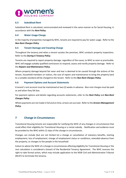

# <span id="page-6-0"></span>**6.3 Subsidised Rent**

Subsidised Rent is calculated, communicated and reviewed in the same manner as for Social Housing, in accordance with the *Rent Policy*.

#### <span id="page-6-1"></span>**6.4 Water Usage Charge**

In the majority of properties managed by WHC, tenants are required to pay for water usage. Refer to the *Non-Rent Charges Policy*.

#### <span id="page-6-2"></span>**6.5 Tenant Damage and Vacating Charge**

Throughout the tenancy and when a tenant vacates the premises, WHC conducts property inspections. Refer to the *During A Tenancy Policy*.

Tenants are required to report property damage, regardless of the cause, to WHC as soon as practicable. WHC will engage suitably qualified contractors to respond, assess and rectify property damage. Refer to the *Repairs and Maintenance Policy*.

Where property damage beyond fair wear and tear is deemed to be caused through the actions of the tenant, household members or visitors, the cost of repairs and maintenance to bring the property back to a suitable standard will be charged to the tenant. Refer to the *Non-Rent Charges Policy*.

# <span id="page-6-3"></span>**6.6 Payment Options and Account Statements**

A tenant's rent account must be maintained at two (2) weeks in advance. Non-rent charges must be paid as and when they fall due.

For payment options and details regarding accounts statements, refer to the *Rent Policy* and *Non-Rent Charges Policy*.

Where payments are not made in full and on time, arrears are accrued. Refer to the *Arrears Management Policy*.

# <span id="page-6-4"></span>**7 Change in Circumstances**

Transitional Housing tenants are responsible for notifying the WHC of any changes in circumstances that could affect their eligibility for Transitional Housing or a rental subsidy. Notification and evidence must be provided to the WHC within 21 days of the change in circumstances.

Changes can include (but are not limited to) a change or cancellation of statutory benefits, starting employment, loss of employment, change of employment status or conditions, extended absence from the property, or changes to the people in the household.

Failure to advise the WHC of a change in circumstances affecting eligibility for Transitional Housing or the rent calculation is considered a breach of the Residential Tenancy Agreement. The WHC reserves the right to take formal action, which may include application to the NSW Civil and Administrative Tribunal (NCAT) to terminate the tenancy.